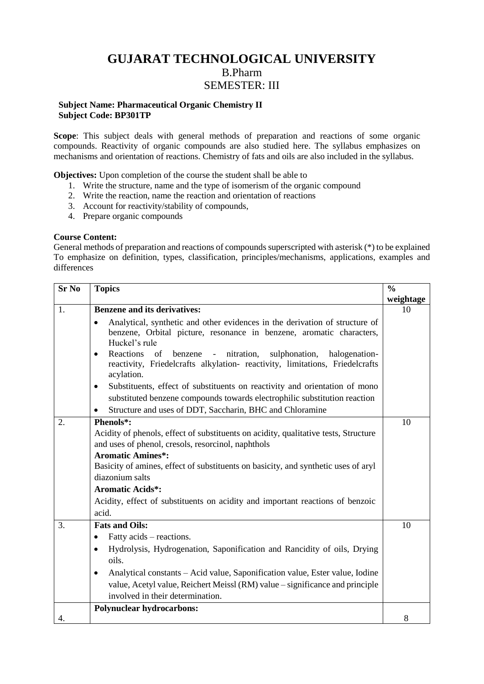# **GUJARAT TECHNOLOGICAL UNIVERSITY** B.Pharm SEMESTER: III

#### **Subject Name: Pharmaceutical Organic Chemistry II Subject Code: BP301TP**

**Scope**: This subject deals with general methods of preparation and reactions of some organic compounds. Reactivity of organic compounds are also studied here. The syllabus emphasizes on mechanisms and orientation of reactions. Chemistry of fats and oils are also included in the syllabus.

**Objectives:** Upon completion of the course the student shall be able to

- 1. Write the structure, name and the type of isomerism of the organic compound
- 2. Write the reaction, name the reaction and orientation of reactions
- 3. Account for reactivity/stability of compounds,
- 4. Prepare organic compounds

#### **Course Content:**

General methods of preparation and reactions of compounds superscripted with asterisk (\*) to be explained To emphasize on definition, types, classification, principles/mechanisms, applications, examples and differences

| <b>Sr No</b> | <b>Topics</b>                                                                                                                                                                                                | $\frac{0}{0}$ |
|--------------|--------------------------------------------------------------------------------------------------------------------------------------------------------------------------------------------------------------|---------------|
|              |                                                                                                                                                                                                              | weightage     |
| 1.           | <b>Benzene and its derivatives:</b>                                                                                                                                                                          | 10            |
|              | Analytical, synthetic and other evidences in the derivation of structure of<br>$\bullet$<br>benzene, Orbital picture, resonance in benzene, aromatic characters,<br>Huckel's rule                            |               |
|              | Reactions<br>nitration,<br>sulphonation,<br>halogenation-<br>of<br>benzene<br>$\bullet$<br>$\omega_{\rm{max}}$<br>reactivity, Friedelcrafts alkylation- reactivity, limitations, Friedelcrafts<br>acylation. |               |
|              | Substituents, effect of substituents on reactivity and orientation of mono<br>$\bullet$                                                                                                                      |               |
|              | substituted benzene compounds towards electrophilic substitution reaction                                                                                                                                    |               |
|              | Structure and uses of DDT, Saccharin, BHC and Chloramine                                                                                                                                                     |               |
| 2.           | Phenols*:                                                                                                                                                                                                    | 10            |
|              | Acidity of phenols, effect of substituents on acidity, qualitative tests, Structure<br>and uses of phenol, cresols, resorcinol, naphthols                                                                    |               |
|              | <b>Aromatic Amines*:</b>                                                                                                                                                                                     |               |
|              | Basicity of amines, effect of substituents on basicity, and synthetic uses of aryl<br>diazonium salts                                                                                                        |               |
|              | <b>Aromatic Acids*:</b>                                                                                                                                                                                      |               |
|              | Acidity, effect of substituents on acidity and important reactions of benzoic                                                                                                                                |               |
|              | acid.                                                                                                                                                                                                        |               |
| 3.           | <b>Fats and Oils:</b>                                                                                                                                                                                        | 10            |
|              | Fatty acids – reactions.<br>$\bullet$                                                                                                                                                                        |               |
|              | Hydrolysis, Hydrogenation, Saponification and Rancidity of oils, Drying<br>$\bullet$                                                                                                                         |               |
|              | oils.                                                                                                                                                                                                        |               |
|              | Analytical constants - Acid value, Saponification value, Ester value, Iodine<br>$\bullet$                                                                                                                    |               |
|              | value, Acetyl value, Reichert Meissl (RM) value – significance and principle                                                                                                                                 |               |
|              | involved in their determination.                                                                                                                                                                             |               |
| 4.           | <b>Polynuclear hydrocarbons:</b>                                                                                                                                                                             | 8             |